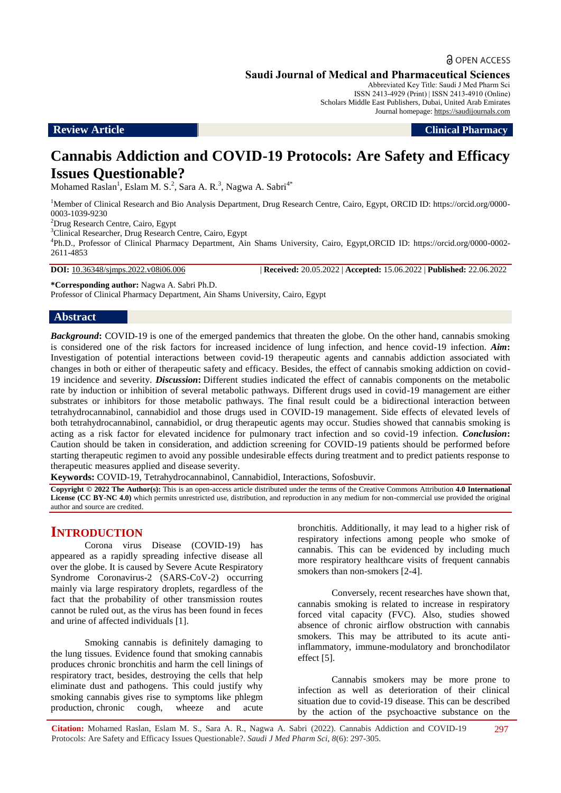a OPEN ACCESS

Abbreviated Key Title: Saudi J Med Pharm Sci ISSN 2413-4929 (Print) | ISSN 2413-4910 (Online) Scholars Middle East Publishers, Dubai, United Arab Emirates Journal homepage: [https://saudijournals.com](https://saudijournals.com/sjmps)

**Review Article Clinical Pharmacy**

# **Cannabis Addiction and COVID-19 Protocols: Are Safety and Efficacy Issues Questionable?**

Mohamed Raslan<sup>1</sup>, Eslam M. S.<sup>2</sup>, Sara A. R.<sup>3</sup>, Nagwa A. Sabri<sup>4\*</sup>

<sup>1</sup>Member of Clinical Research and Bio Analysis Department, Drug Research Centre, Cairo, Egypt, ORCID ID: https://orcid.org/0000-0003-1039-9230

<sup>2</sup>Drug Research Centre, Cairo, Egypt

<sup>3</sup>Clinical Researcher, Drug Research Centre, Cairo, Egypt

4 Ph.D., Professor of Clinical Pharmacy Department, Ain Shams University, Cairo, Egypt,ORCID ID: https://orcid.org/0000-0002- 2611-4853

**DOI:** 10.36348/sjmps.2022.v08i06.006 | **Received:** 20.05.2022 | **Accepted:** 15.06.2022 | **Published:** 22.06.2022

**\*Corresponding author:** Nagwa A. Sabri Ph.D.

Professor of Clinical Pharmacy Department, Ain Shams University, Cairo, Egypt

## **Abstract**

*Background*: COVID-19 is one of the emerged pandemics that threaten the globe. On the other hand, cannabis smoking is considered one of the risk factors for increased incidence of lung infection, and hence covid-19 infection. *Aim***:** Investigation of potential interactions between covid-19 therapeutic agents and cannabis addiction associated with changes in both or either of therapeutic safety and efficacy. Besides, the effect of cannabis smoking addiction on covid-19 incidence and severity. *Discussion***:** Different studies indicated the effect of cannabis components on the metabolic rate by induction or inhibition of several metabolic pathways. Different drugs used in covid-19 management are either substrates or inhibitors for those metabolic pathways. The final result could be a bidirectional interaction between tetrahydrocannabinol, cannabidiol and those drugs used in COVID-19 management. Side effects of elevated levels of both tetrahydrocannabinol, cannabidiol, or drug therapeutic agents may occur. Studies showed that cannabis smoking is acting as a risk factor for elevated incidence for pulmonary tract infection and so covid-19 infection. *Conclusion***:** Caution should be taken in consideration, and addiction screening for COVID-19 patients should be performed before starting therapeutic regimen to avoid any possible undesirable effects during treatment and to predict patients response to therapeutic measures applied and disease severity.

**Keywords:** COVID-19, Tetrahydrocannabinol, Cannabidiol, Interactions, Sofosbuvir.

**Copyright © 2022 The Author(s):** This is an open-access article distributed under the terms of the Creative Commons Attribution **4.0 International**  License (CC BY-NC 4.0) which permits unrestricted use, distribution, and reproduction in any medium for non-commercial use provided the original author and source are credited.

## **INTRODUCTION**

Corona virus Disease (COVID-19) has appeared as a rapidly spreading infective disease all over the globe. It is caused by Severe Acute Respiratory Syndrome Coronavirus-2 (SARS-CoV-2) occurring mainly via large respiratory droplets, regardless of the fact that the probability of other transmission routes cannot be ruled out, as the virus has been found in feces and urine of affected individuals [1].

Smoking cannabis is definitely damaging to the lung tissues. Evidence found that smoking cannabis produces chronic bronchitis and harm the cell linings of respiratory tract, besides, destroying the cells that help eliminate dust and pathogens. This could justify why smoking cannabis gives rise to symptoms like phlegm production, chronic cough, wheeze and acute

bronchitis. Additionally, it may lead to a higher risk of respiratory infections among people who smoke of cannabis. This can be evidenced by including much more respiratory healthcare visits of frequent cannabis smokers than non-smokers [2-4].

Conversely, recent researches have shown that, cannabis smoking is related to increase in respiratory forced vital capacity (FVC). Also, studies showed absence of chronic airflow obstruction with cannabis smokers. This may be attributed to its acute antiinflammatory, immune-modulatory and bronchodilator effect [5].

Cannabis smokers may be more prone to infection as well as deterioration of their clinical situation due to covid-19 disease. This can be described by the action of the psychoactive substance on the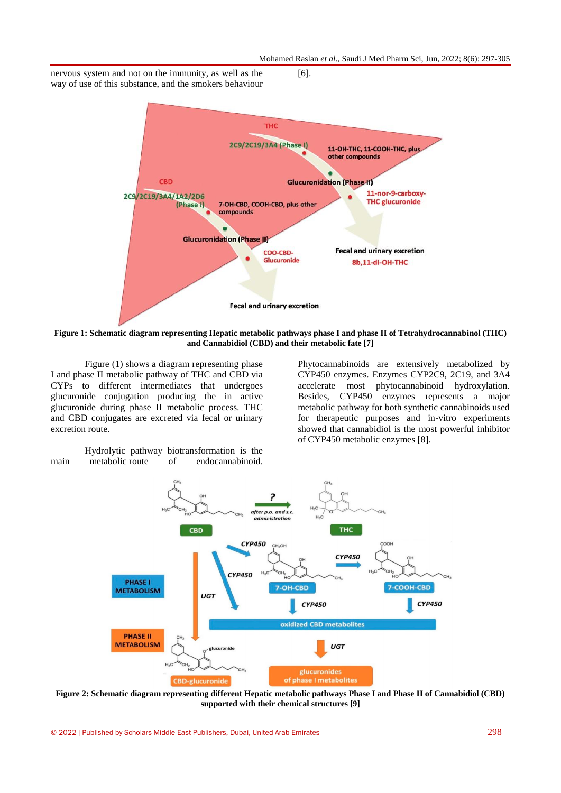nervous system and not on the immunity, as well as the way of use of this substance, and the smokers behaviour



[6].

**Figure 1: Schematic diagram representing Hepatic metabolic pathways phase I and phase II of Tetrahydrocannabinol (THC) and Cannabidiol (CBD) and their metabolic fate [7]**

Figure (1) shows a diagram representing phase I and phase II metabolic pathway of THC and CBD via CYPs to different intermediates that undergoes glucuronide conjugation producing the in active glucuronide during phase II metabolic process. THC and CBD conjugates are excreted via fecal or urinary excretion route.

Hydrolytic pathway biotransformation is the main metabolic route of endocannabinoid.

Phytocannabinoids are extensively metabolized by CYP450 enzymes. Enzymes CYP2C9, 2C19, and 3A4 accelerate most phytocannabinoid hydroxylation. Besides, CYP450 enzymes represents a major metabolic pathway for both synthetic cannabinoids used for therapeutic purposes and in-vitro experiments showed that cannabidiol is the most powerful inhibitor of CYP450 metabolic enzymes [8].



**Figure 2: Schematic diagram representing different Hepatic metabolic pathways Phase I and Phase II of Cannabidiol (CBD) supported with their chemical structures [9]**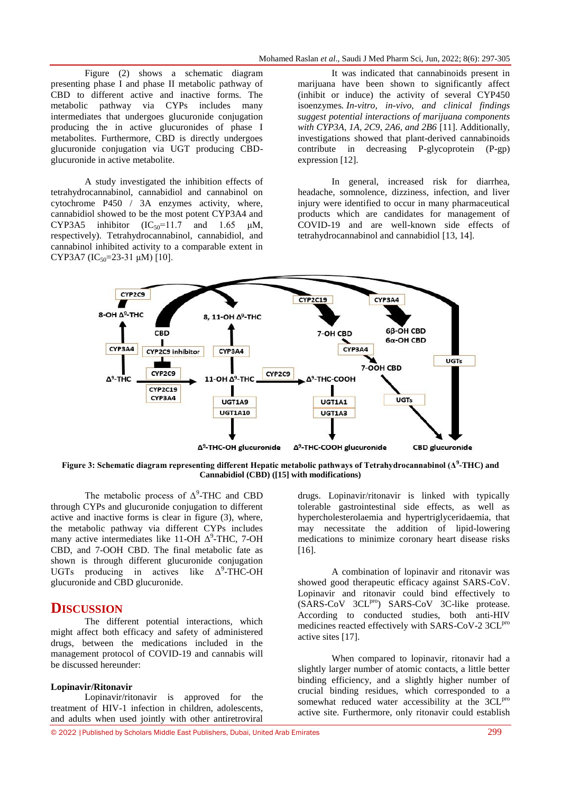Figure (2) shows a schematic diagram presenting phase I and phase II metabolic pathway of CBD to different active and inactive forms. The metabolic pathway via CYPs includes many intermediates that undergoes glucuronide conjugation producing the in active glucuronides of phase I metabolites. Furthermore, CBD is directly undergoes glucuronide conjugation via UGT producing CBDglucuronide in active metabolite.

A study investigated the inhibition effects of tetrahydrocannabinol, cannabidiol and cannabinol on cytochrome P450 / 3A enzymes activity, where, cannabidiol showed to be the most potent CYP3A4 and CYP3A5 inhibitor  $(IC_{50} = 11.7$  and  $1.65 \mu M$ , respectively). Tetrahydrocannabinol, cannabidiol, and cannabinol inhibited activity to a comparable extent in CYP3A7 (IC<sub>50</sub>=23-31  $\mu$ M) [10].

It was indicated that cannabinoids present in marijuana have been shown to significantly affect (inhibit or induce) the activity of several CYP450 isoenzymes*. In-vitro, in-vivo, and clinical findings suggest potential interactions of marijuana components with CYP3A, 1A, 2C9, 2A6, and 2B6* [11]. Additionally, investigations showed that plant-derived cannabinoids contribute in decreasing P-glycoprotein (P-gp) expression [12].

In general, increased risk for diarrhea, headache, somnolence, dizziness, infection, and liver injury were identified to occur in many pharmaceutical products which are candidates for management of COVID-19 and are well-known side effects of tetrahydrocannabinol and cannabidiol [13, 14].



**Figure 3: Schematic diagram representing different Hepatic metabolic pathways of Tetrahydrocannabinol (Δ<sup>9</sup> -THC) and Cannabidiol (CBD) ([15] with modifications)**

The metabolic process of  $\Delta^9$ -THC and CBD through CYPs and glucuronide conjugation to different active and inactive forms is clear in figure (3), where, the metabolic pathway via different CYPs includes many active intermediates like 11-OH  $\Delta^9$ -THC, 7-OH CBD, and 7-OOH CBD. The final metabolic fate as shown is through different glucuronide conjugation UGTs producing in actives like  $\Delta^9$ -THC-OH glucuronide and CBD glucuronide.

## **DISCUSSION**

The different potential interactions, which might affect both efficacy and safety of administered drugs, between the medications included in the management protocol of COVID-19 and cannabis will be discussed hereunder:

#### **Lopinavir/Ritonavir**

Lopinavir/ritonavir is approved for the treatment of HIV-1 infection in children, adolescents, and adults when used jointly with other antiretroviral

drugs. Lopinavir/ritonavir is linked with typically tolerable gastrointestinal side effects, as well as hypercholesterolaemia and hypertriglyceridaemia, that may necessitate the addition of lipid-lowering medications to minimize coronary heart disease risks [16].

A combination of lopinavir and ritonavir was showed good therapeutic efficacy against SARS-CoV. Lopinavir and ritonavir could bind effectively to (SARS-CoV 3CL<sup>pro</sup>) SARS-CoV 3C-like protease. According to conducted studies, both anti-HIV medicines reacted effectively with SARS-CoV-2 3CL<sup>pro</sup> active sites [17].

When compared to lopinavir, ritonavir had a slightly larger number of atomic contacts, a little better binding efficiency, and a slightly higher number of crucial binding residues, which corresponded to a somewhat reduced water accessibility at the 3CL<sup>pro</sup> active site. Furthermore, only ritonavir could establish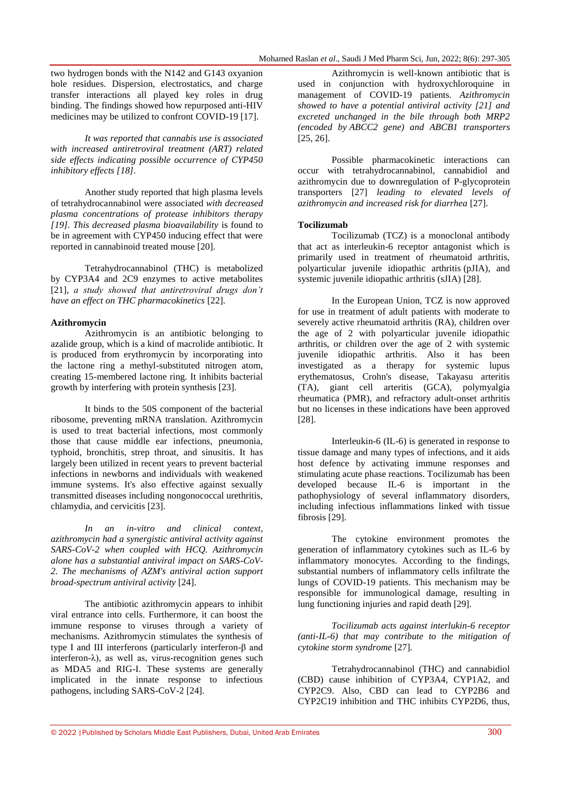two hydrogen bonds with the N142 and G143 oxyanion hole residues. Dispersion, electrostatics, and charge transfer interactions all played key roles in drug binding. The findings showed how repurposed anti-HIV medicines may be utilized to confront COVID-19 [17].

*It was reported that cannabis use is associated with increased antiretroviral treatment (ART) related side effects indicating possible occurrence of CYP450 inhibitory effects [18].*

Another study reported that high plasma levels of tetrahydrocannabinol were associated *with decreased plasma concentrations of protease inhibitors therapy [19]. This decreased plasma bioavailability* is found to be in agreement with CYP450 inducing effect that were reported in cannabinoid treated mouse [20].

Tetrahydrocannabinol (THC) is metabolized by CYP3A4 and 2C9 enzymes to active metabolites [21], *a study showed that antiretroviral drugs don't have an effect on THC pharmacokinetics* [22].

## **Azithromycin**

Azithromycin is an antibiotic belonging to azalide group, which is a kind of macrolide antibiotic. It is produced from erythromycin by incorporating into the lactone ring a methyl-substituted nitrogen atom, creating 15-membered lactone ring. It inhibits bacterial growth by interfering with protein synthesis [23].

It binds to the 50S component of the bacterial ribosome, preventing mRNA translation. Azithromycin is used to treat bacterial infections, most commonly those that cause middle ear infections, pneumonia, typhoid, bronchitis, strep throat, and sinusitis. It has largely been utilized in recent years to prevent bacterial infections in newborns and individuals with weakened immune systems. It's also effective against sexually transmitted diseases including nongonococcal urethritis, chlamydia, and cervicitis [23].

*In an in-vitro and clinical context, azithromycin had a synergistic antiviral activity against SARS-CoV-2 when coupled with HCQ. Azithromycin alone has a substantial antiviral impact on SARS-CoV-2. The mechanisms of AZM's antiviral action support broad-spectrum antiviral activity* [24].

The antibiotic azithromycin appears to inhibit viral entrance into cells. Furthermore, it can boost the immune response to viruses through a variety of mechanisms. Azithromycin stimulates the synthesis of type I and III interferons (particularly interferon-β and interferon-λ), as well as, virus-recognition genes such as MDA5 and RIG-I. These systems are generally implicated in the innate response to infectious pathogens, including SARS-CoV-2 [24].

Azithromycin is well-known antibiotic that is used in conjunction with hydroxychloroquine in management of COVID-19 patients. *Azithromycin showed to have a potential antiviral activity [21] and excreted unchanged in the bile through both MRP2 (encoded by ABCC2 gene) and ABCB1 transporters*  [25, 26].

Possible pharmacokinetic interactions can occur with tetrahydrocannabinol, cannabidiol and azithromycin due to downregulation of P-glycoprotein transporters [27] *leading to elevated levels of azithromycin and increased risk for diarrhea* [27].

## **Tocilizumab**

Tocilizumab (TCZ) is a monoclonal antibody that act as interleukin-6 receptor antagonist which is primarily used in treatment of rheumatoid arthritis, polyarticular juvenile idiopathic arthritis (pJIA), and systemic juvenile idiopathic arthritis (sJIA) [28].

In the European Union, TCZ is now approved for use in treatment of adult patients with moderate to severely active rheumatoid arthritis (RA), children over the age of 2 with polyarticular juvenile idiopathic arthritis, or children over the age of 2 with systemic juvenile idiopathic arthritis. Also it has been investigated as a therapy for systemic lupus erythematosus, Crohn's disease, Takayasu arteritis (TA), giant cell arteritis (GCA), polymyalgia rheumatica (PMR), and refractory adult-onset arthritis but no licenses in these indications have been approved [28].

Interleukin-6 (IL-6) is generated in response to tissue damage and many types of infections, and it aids host defence by activating immune responses and stimulating acute phase reactions. Tocilizumab has been developed because IL-6 is important in the pathophysiology of several inflammatory disorders, including infectious inflammations linked with tissue fibrosis [29].

The cytokine environment promotes the generation of inflammatory cytokines such as IL-6 by inflammatory monocytes. According to the findings, substantial numbers of inflammatory cells infiltrate the lungs of COVID-19 patients. This mechanism may be responsible for immunological damage, resulting in lung functioning injuries and rapid death [29].

*Tocilizumab acts against interlukin-6 receptor (anti-IL-6) that may contribute to the mitigation of cytokine storm syndrome* [27].

Tetrahydrocannabinol (THC) and cannabidiol (CBD) cause inhibition of CYP3A4, CYP1A2, and CYP2C9. Also, CBD can lead to CYP2B6 and CYP2C19 inhibition and THC inhibits CYP2D6, thus,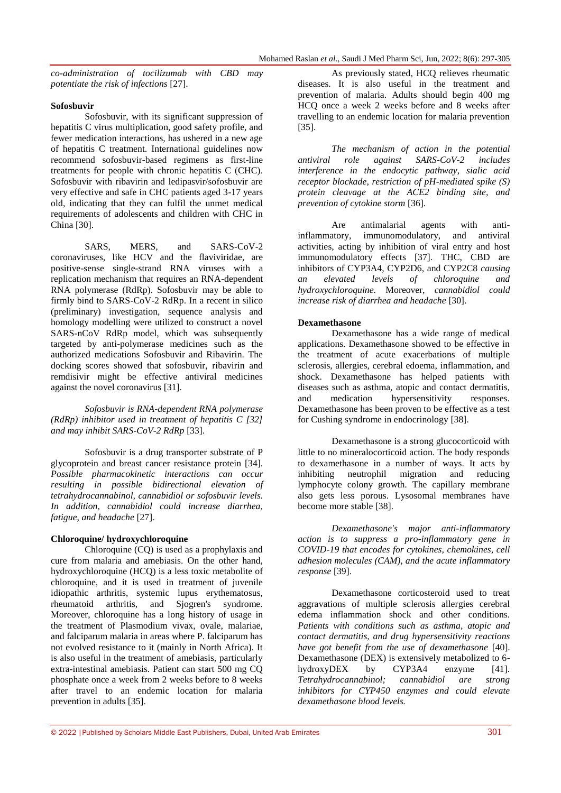*co-administration of tocilizumab with CBD may potentiate the risk of infections* [27].

#### **Sofosbuvir**

Sofosbuvir, with its significant suppression of hepatitis C virus multiplication, good safety profile, and fewer medication interactions, has ushered in a new age of hepatitis C treatment. International guidelines now recommend sofosbuvir-based regimens as first-line treatments for people with chronic hepatitis C (CHC). Sofosbuvir with ribavirin and ledipasvir/sofosbuvir are very effective and safe in CHC patients aged 3-17 years old, indicating that they can fulfil the unmet medical requirements of adolescents and children with CHC in China [30].

SARS, MERS, and SARS-CoV-2 coronaviruses, like HCV and the flaviviridae, are positive-sense single-strand RNA viruses with a replication mechanism that requires an RNA-dependent RNA polymerase (RdRp). Sofosbuvir may be able to firmly bind to SARS-CoV-2 RdRp. In a recent in silico (preliminary) investigation, sequence analysis and homology modelling were utilized to construct a novel SARS-nCoV RdRp model, which was subsequently targeted by anti-polymerase medicines such as the authorized medications Sofosbuvir and Ribavirin. The docking scores showed that sofosbuvir, ribavirin and remdisivir might be effective antiviral medicines against the novel coronavirus [31].

*Sofosbuvir is RNA-dependent RNA polymerase (RdRp) inhibitor used in treatment of hepatitis C [32] and may inhibit SARS-CoV-2 RdRp* [33].

Sofosbuvir is a drug transporter substrate of P glycoprotein and breast cancer resistance protein [34]. *Possible pharmacokinetic interactions can occur resulting in possible bidirectional elevation of tetrahydrocannabinol, cannabidiol or sofosbuvir levels. In addition, cannabidiol could increase diarrhea, fatigue, and headache* [27].

#### **Chloroquine/ hydroxychloroquine**

Chloroquine (CQ) is used as a prophylaxis and cure from malaria and amebiasis. On the other hand, hydroxychloroquine (HCQ) is a less toxic metabolite of chloroquine, and it is used in treatment of juvenile idiopathic arthritis, systemic lupus erythematosus, rheumatoid arthritis, and Sjogren's syndrome. Moreover, chloroquine has a long history of usage in the treatment of Plasmodium vivax, ovale, malariae, and falciparum malaria in areas where P. falciparum has not evolved resistance to it (mainly in North Africa). It is also useful in the treatment of amebiasis, particularly extra-intestinal amebiasis. Patient can start 500 mg CQ phosphate once a week from 2 weeks before to 8 weeks after travel to an endemic location for malaria prevention in adults [35].

As previously stated, HCQ relieves rheumatic diseases. It is also useful in the treatment and prevention of malaria. Adults should begin 400 mg HCQ once a week 2 weeks before and 8 weeks after travelling to an endemic location for malaria prevention [35].

*The mechanism of action in the potential antiviral role against SARS-CoV-2 includes interference in the endocytic pathway, sialic acid receptor blockade, restriction of pH-mediated spike (S) protein cleavage at the ACE2 binding site, and prevention of cytokine storm* [36].

Are antimalarial agents with antiinflammatory, immunomodulatory, and antiviral activities, acting by inhibition of viral entry and host immunomodulatory effects [37]. THC, CBD are inhibitors of CYP3A4, CYP2D6, and CYP2C8 *causing an elevated levels of chloroquine and hydroxychloroquine.* Moreover, *cannabidiol could increase risk of diarrhea and headache* [30].

#### **Dexamethasone**

Dexamethasone has a wide range of medical applications. Dexamethasone showed to be effective in the treatment of acute exacerbations of multiple sclerosis, allergies, cerebral edoema, inflammation, and shock. Dexamethasone has helped patients with diseases such as asthma, atopic and contact dermatitis, and medication hypersensitivity responses. Dexamethasone has been proven to be effective as a test for Cushing syndrome in endocrinology [38].

Dexamethasone is a strong glucocorticoid with little to no mineralocorticoid action. The body responds to dexamethasone in a number of ways. It acts by inhibiting neutrophil migration and reducing lymphocyte colony growth. The capillary membrane also gets less porous. Lysosomal membranes have become more stable [38].

*Dexamethasone's major anti-inflammatory action is to suppress a pro-inflammatory gene in COVID-19 that encodes for cytokines, chemokines, cell adhesion molecules (CAM), and the acute inflammatory response* [39].

Dexamethasone corticosteroid used to treat aggravations of multiple sclerosis allergies cerebral edema inflammation shock and other conditions. *Patients with conditions such as asthma, atopic and contact dermatitis, and drug hypersensitivity reactions have got benefit from the use of dexamethasone* [40]. Dexamethasone (DEX) is extensively metabolized to 6 hydroxyDEX by CYP3A4 enzyme [41]. *Tetrahydrocannabinol; cannabidiol are strong inhibitors for CYP450 enzymes and could elevate dexamethasone blood levels.*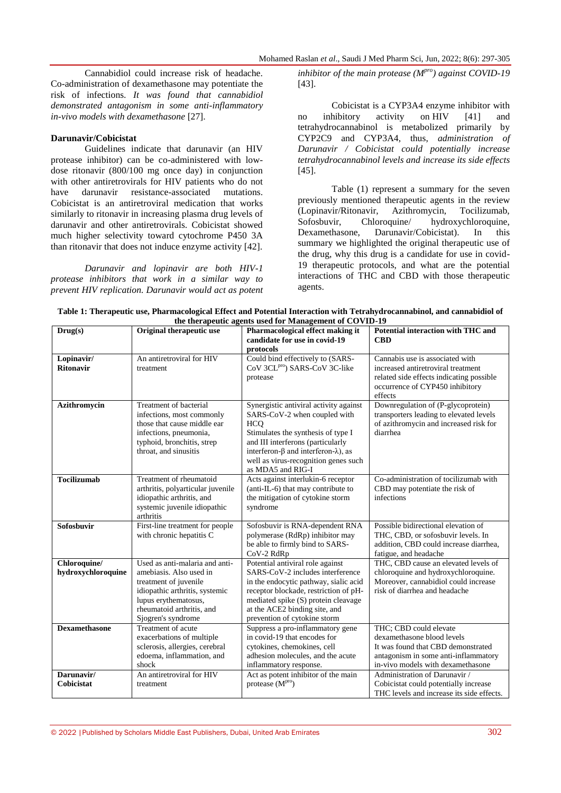Mohamed Raslan *et al*., Saudi J Med Pharm Sci, Jun, 2022; 8(6): 297-305

Cannabidiol could increase risk of headache. Co-administration of dexamethasone may potentiate the risk of infections. *It was found that cannabidiol demonstrated antagonism in some anti-inflammatory in-vivo models with dexamethasone* [27].

#### **Darunavir/Cobicistat**

Guidelines indicate that darunavir (an HIV protease inhibitor) can be co-administered with lowdose ritonavir (800/100 mg once day) in conjunction with other antiretrovirals for HIV patients who do not<br>have darunavir resistance-associated mutations. have darunavir resistance-associated Cobicistat is an antiretroviral medication that works similarly to ritonavir in increasing plasma drug levels of darunavir and other antiretrovirals. Cobicistat showed much higher selectivity toward cytochrome P450 3A than ritonavir that does not induce enzyme activity [42].

*Darunavir and lopinavir are both HIV-1 protease inhibitors that work in a similar way to prevent HIV replication. Darunavir would act as potent*  *inhibitor of the main protease (Mpro) against COVID-19*  [43].

Cobicistat is a CYP3A4 enzyme inhibitor with no inhibitory activity on HIV [41] and tetrahydrocannabinol is metabolized primarily by CYP2C9 and CYP3A4, thus, *administration of Darunavir / Cobicistat could potentially increase tetrahydrocannabinol levels and increase its side effects*  [45].

Table (1) represent a summary for the seven previously mentioned therapeutic agents in the review (Lopinavir/Ritonavir, Azithromycin, Tocilizumab, Sofosbuvir, Chloroquine/ hydroxychloroquine, Dexamethasone, Darunavir/Cobicistat). In this summary we highlighted the original therapeutic use of the drug, why this drug is a candidate for use in covid-19 therapeutic protocols, and what are the potential interactions of THC and CBD with those therapeutic agents.

| Table 1: Therapeutic use, Pharmacological Effect and Potential Interaction with Tetrahydrocannabinol, and cannabidiol of |  |  |  |  |  |  |
|--------------------------------------------------------------------------------------------------------------------------|--|--|--|--|--|--|
| the therapeutic agents used for Management of COVID-19                                                                   |  |  |  |  |  |  |

| Drug(s)                            | Original therapeutic use                                                                                                                                                                        | Pharmacological effect making it<br>candidate for use in covid-19<br>protocols                                                                                                                                                                                                      | Potential interaction with THC and<br><b>CBD</b>                                                                                                                        |
|------------------------------------|-------------------------------------------------------------------------------------------------------------------------------------------------------------------------------------------------|-------------------------------------------------------------------------------------------------------------------------------------------------------------------------------------------------------------------------------------------------------------------------------------|-------------------------------------------------------------------------------------------------------------------------------------------------------------------------|
| Lopinavir/<br><b>Ritonavir</b>     | An antiretroviral for HIV<br>treatment                                                                                                                                                          | Could bind effectively to (SARS-<br>CoV 3CLPro) SARS-CoV 3C-like<br>protease                                                                                                                                                                                                        | Cannabis use is associated with<br>increased antiretroviral treatment<br>related side effects indicating possible<br>occurrence of CYP450 inhibitory<br>effects         |
| Azithromycin                       | Treatment of bacterial<br>infections, most commonly<br>those that cause middle ear<br>infections, pneumonia,<br>typhoid, bronchitis, strep<br>throat, and sinusitis                             | Synergistic antiviral activity against<br>SARS-CoV-2 when coupled with<br><b>HCO</b><br>Stimulates the synthesis of type I<br>and III interferons (particularly<br>interferon- $\beta$ and interferon- $\lambda$ ), as<br>well as virus-recognition genes such<br>as MDA5 and RIG-I | Downregulation of (P-glycoprotein)<br>transporters leading to elevated levels<br>of azithromycin and increased risk for<br>diarrhea                                     |
| <b>Tocilizumab</b>                 | Treatment of rheumatoid<br>arthritis, polyarticular juvenile<br>idiopathic arthritis, and<br>systemic juvenile idiopathic<br>arthritis                                                          | Acts against interlukin-6 receptor<br>(anti-IL-6) that may contribute to<br>the mitigation of cytokine storm<br>syndrome                                                                                                                                                            | Co-administration of tocilizumab with<br>CBD may potentiate the risk of<br>infections                                                                                   |
| <b>Sofosbuvir</b>                  | First-line treatment for people<br>with chronic hepatitis C                                                                                                                                     | Sofosbuvir is RNA-dependent RNA<br>polymerase (RdRp) inhibitor may<br>be able to firmly bind to SARS-<br>CoV-2 RdRp                                                                                                                                                                 | Possible bidirectional elevation of<br>THC, CBD, or sofosbuvir levels. In<br>addition, CBD could increase diarrhea,<br>fatigue, and headache                            |
| Chloroquine/<br>hydroxychloroquine | Used as anti-malaria and anti-<br>amebiasis. Also used in<br>treatment of juvenile<br>idiopathic arthritis, systemic<br>lupus erythematosus,<br>rheumatoid arthritis, and<br>Sjogren's syndrome | Potential antiviral role against<br>SARS-CoV-2 includes interference<br>in the endocytic pathway, sialic acid<br>receptor blockade, restriction of pH-<br>mediated spike (S) protein cleavage<br>at the ACE2 binding site, and<br>prevention of cytokine storm                      | THC, CBD cause an elevated levels of<br>chloroquine and hydroxychloroquine.<br>Moreover, cannabidiol could increase<br>risk of diarrhea and headache                    |
| <b>Dexamethasone</b>               | Treatment of acute<br>exacerbations of multiple<br>sclerosis, allergies, cerebral<br>edoema, inflammation, and<br>shock                                                                         | Suppress a pro-inflammatory gene<br>in covid-19 that encodes for<br>cytokines, chemokines, cell<br>adhesion molecules, and the acute<br>inflammatory response.                                                                                                                      | THC: CBD could elevate<br>dexamethasone blood levels<br>It was found that CBD demonstrated<br>antagonism in some anti-inflammatory<br>in-vivo models with dexamethasone |
| Darunavir/<br>Cobicistat           | An antiretroviral for HIV<br>treatment                                                                                                                                                          | Act as potent inhibitor of the main<br>protease $(Mpro)$                                                                                                                                                                                                                            | Administration of Darunavir /<br>Cobicistat could potentially increase<br>THC levels and increase its side effects.                                                     |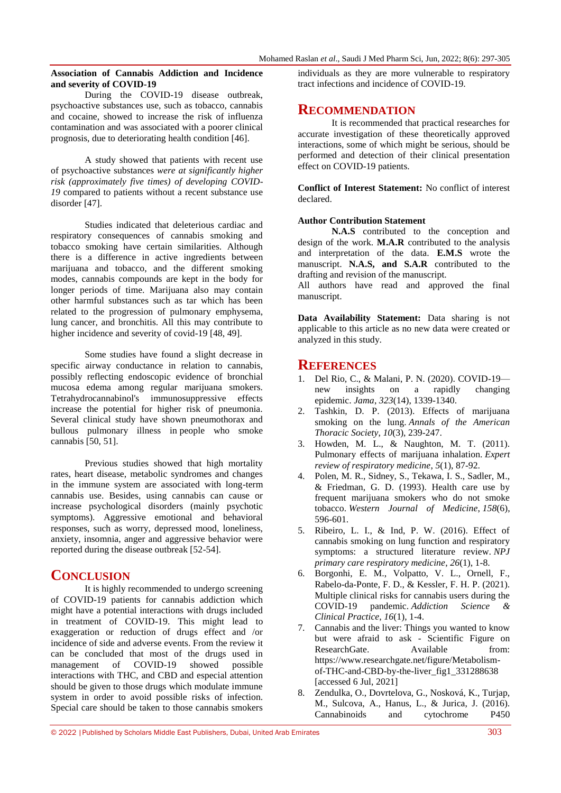### **Association of Cannabis Addiction and Incidence and severity of COVID-19**

During the COVID-19 disease outbreak, psychoactive substances use, such as tobacco, cannabis and cocaine, showed to increase the risk of influenza contamination and was associated with a poorer clinical prognosis, due to deteriorating health condition [46].

A study showed that patients with recent use of psychoactive substances *were at significantly higher risk (approximately five times) of developing COVID-19* compared to patients without a recent substance use disorder [47].

Studies indicated that deleterious cardiac and respiratory consequences of cannabis smoking and tobacco smoking have certain similarities. Although there is a difference in active ingredients between marijuana and tobacco, and the different smoking modes, cannabis compounds are kept in the body for longer periods of time. Marijuana also may contain other harmful substances such as tar which has been related to the progression of pulmonary emphysema, lung cancer, and bronchitis. All this may contribute to higher incidence and severity of covid-19 [48, 49].

Some studies have found a slight decrease in specific airway conductance in relation to cannabis, possibly reflecting endoscopic evidence of bronchial mucosa edema among regular marijuana smokers. Tetrahydrocannabinol's immunosuppressive effects increase the potential for higher risk of pneumonia. Several clinical study have shown pneumothorax and bullous pulmonary illness in people who smoke cannabis [50, 51].

Previous studies showed that high mortality rates, heart disease, metabolic syndromes and changes in the immune system are associated with long-term cannabis use. Besides, using cannabis can cause or increase psychological disorders (mainly psychotic symptoms). Aggressive emotional and behavioral responses, such as worry, depressed mood, loneliness, anxiety, insomnia, anger and aggressive behavior were reported during the disease outbreak [52-54].

## **CONCLUSION**

It is highly recommended to undergo screening of COVID-19 patients for cannabis addiction which might have a potential interactions with drugs included in treatment of COVID-19. This might lead to exaggeration or reduction of drugs effect and /or incidence of side and adverse events. From the review it can be concluded that most of the drugs used in management of COVID-19 showed possible interactions with THC, and CBD and especial attention should be given to those drugs which modulate immune system in order to avoid possible risks of infection. Special care should be taken to those cannabis smokers

individuals as they are more vulnerable to respiratory tract infections and incidence of COVID-19.

## **RECOMMENDATION**

It is recommended that practical researches for accurate investigation of these theoretically approved interactions, some of which might be serious, should be performed and detection of their clinical presentation effect on COVID-19 patients.

**Conflict of Interest Statement:** No conflict of interest declared.

## **Author Contribution Statement**

**N.A.S** contributed to the conception and design of the work. **M.A.R** contributed to the analysis and interpretation of the data. **E.M.S** wrote the manuscript. **N.A.S, and S.A.R** contributed to the drafting and revision of the manuscript.

All authors have read and approved the final manuscript.

**Data Availability Statement:** Data sharing is not applicable to this article as no new data were created or analyzed in this study.

## **REFERENCES**

- 1. Del Rio, C., & Malani, P. N. (2020). COVID-19 new insights on a rapidly changing epidemic. *Jama*, *323*(14), 1339-1340.
- 2. Tashkin, D. P. (2013). Effects of marijuana smoking on the lung. *Annals of the American Thoracic Society*, *10*(3), 239-247.
- 3. Howden, M. L., & Naughton, M. T. (2011). Pulmonary effects of marijuana inhalation. *Expert review of respiratory medicine*, *5*(1), 87-92.
- 4. Polen, M. R., Sidney, S., Tekawa, I. S., Sadler, M., & Friedman, G. D. (1993). Health care use by frequent marijuana smokers who do not smoke tobacco. *Western Journal of Medicine*, *158*(6), 596-601.
- 5. Ribeiro, L. I., & Ind, P. W. (2016). Effect of cannabis smoking on lung function and respiratory symptoms: a structured literature review. *NPJ primary care respiratory medicine*, *26*(1), 1-8.
- 6. Borgonhi, E. M., Volpatto, V. L., Ornell, F., Rabelo-da-Ponte, F. D., & Kessler, F. H. P. (2021). Multiple clinical risks for cannabis users during the COVID-19 pandemic. *Addiction Science & Clinical Practice*, *16*(1), 1-4.
- 7. Cannabis and the liver: Things you wanted to know but were afraid to ask - Scientific Figure on ResearchGate. Available from: https://www.researchgate.net/figure/Metabolismof-THC-and-CBD-by-the-liver\_fig1\_331288638 [accessed 6 Jul, 2021]
- 8. Zendulka, O., Dovrtelova, G., Nosková, K., Turjap, M., Sulcova, A., Hanus, L., & Jurica, J. (2016). Cannabinoids and cytochrome P450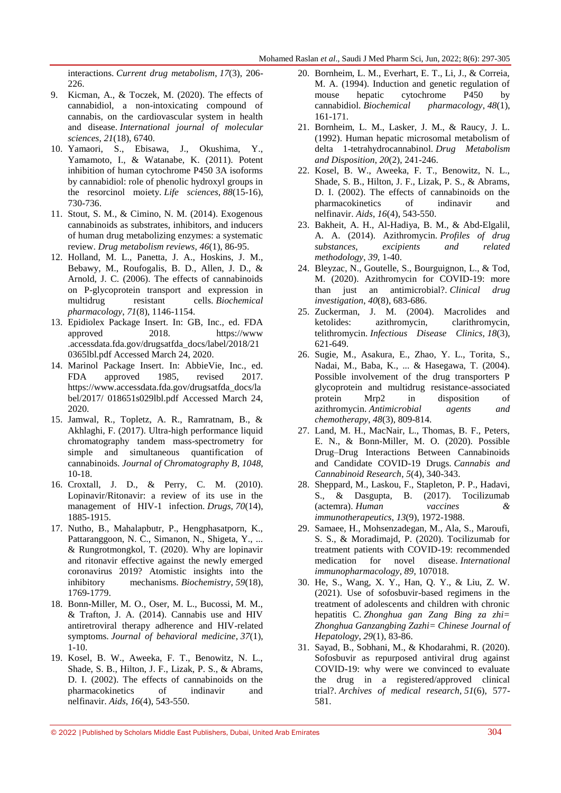interactions. *Current drug metabolism*, *17*(3), 206- 226.

- 9. Kicman, A., & Toczek, M. (2020). The effects of cannabidiol, a non-intoxicating compound of cannabis, on the cardiovascular system in health and disease. *International journal of molecular sciences*, *21*(18), 6740.
- 10. Yamaori, S., Ebisawa, J., Okushima, Y., Yamamoto, I., & Watanabe, K. (2011). Potent inhibition of human cytochrome P450 3A isoforms by cannabidiol: role of phenolic hydroxyl groups in the resorcinol moiety. *Life sciences*, *88*(15-16), 730-736.
- 11. Stout, S. M., & Cimino, N. M. (2014). Exogenous cannabinoids as substrates, inhibitors, and inducers of human drug metabolizing enzymes: a systematic review. *Drug metabolism reviews*, *46*(1), 86-95.
- 12. Holland, M. L., Panetta, J. A., Hoskins, J. M., Bebawy, M., Roufogalis, B. D., Allen, J. D., & Arnold, J. C. (2006). The effects of cannabinoids on P-glycoprotein transport and expression in multidrug resistant cells. *Biochemical pharmacology*, *71*(8), 1146-1154.
- 13. Epidiolex Package Insert. In: GB, Inc., ed. FDA approved 2018. https://www .accessdata.fda.gov/drugsatfda\_docs/label/2018/21 0365lbl.pdf Accessed March 24, 2020.
- 14. Marinol Package Insert. In: AbbieVie, Inc., ed. FDA approved 1985, revised 2017. https://www.accessdata.fda.gov/drugsatfda\_docs/la bel/2017/ 018651s029lbl.pdf Accessed March 24, 2020.
- 15. Jamwal, R., Topletz, A. R., Ramratnam, B., & Akhlaghi, F. (2017). Ultra-high performance liquid chromatography tandem mass-spectrometry for simple and simultaneous quantification of cannabinoids. *Journal of Chromatography B*, *1048*, 10-18.
- 16. Croxtall, J. D., & Perry, C. M. (2010). Lopinavir/Ritonavir: a review of its use in the management of HIV-1 infection. *Drugs*, *70*(14), 1885-1915.
- 17. Nutho, B., Mahalapbutr, P., Hengphasatporn, K., Pattaranggoon, N. C., Simanon, N., Shigeta, Y., ... & Rungrotmongkol, T. (2020). Why are lopinavir and ritonavir effective against the newly emerged coronavirus 2019? Atomistic insights into the inhibitory mechanisms. *Biochemistry*, *59*(18), 1769-1779.
- 18. Bonn-Miller, M. O., Oser, M. L., Bucossi, M. M., & Trafton, J. A. (2014). Cannabis use and HIV antiretroviral therapy adherence and HIV-related symptoms. *Journal of behavioral medicine*, *37*(1), 1-10.
- 19. Kosel, B. W., Aweeka, F. T., Benowitz, N. L., Shade, S. B., Hilton, J. F., Lizak, P. S., & Abrams, D. I. (2002). The effects of cannabinoids on the pharmacokinetics of indinavir and nelfinavir. *Aids*, *16*(4), 543-550.
- 20. Bornheim, L. M., Everhart, E. T., Li, J., & Correia, M. A. (1994). Induction and genetic regulation of mouse hepatic cytochrome P450 by cannabidiol. *Biochemical pharmacology*, *48*(1), 161-171.
- 21. Bornheim, L. M., Lasker, J. M., & Raucy, J. L. (1992). Human hepatic microsomal metabolism of delta 1-tetrahydrocannabinol. *Drug Metabolism and Disposition*, *20*(2), 241-246.
- 22. Kosel, B. W., Aweeka, F. T., Benowitz, N. L., Shade, S. B., Hilton, J. F., Lizak, P. S., & Abrams, D. I. (2002). The effects of cannabinoids on the pharmacokinetics of indinavir and nelfinavir. *Aids*, *16*(4), 543-550.
- 23. Bakheit, A. H., Al-Hadiya, B. M., & Abd-Elgalil, A. A. (2014). Azithromycin. *Profiles of drug substances, excipients and related methodology*, *39*, 1-40.
- 24. Bleyzac, N., Goutelle, S., Bourguignon, L., & Tod, M. (2020). Azithromycin for COVID-19: more than just an antimicrobial?. *Clinical drug investigation*, *40*(8), 683-686.
- 25. Zuckerman, J. M. (2004). Macrolides and ketolides: azithromycin, clarithromycin, telithromycin. *Infectious Disease Clinics*, *18*(3), 621-649.
- 26. Sugie, M., Asakura, E., Zhao, Y. L., Torita, S., Nadai, M., Baba, K., ... & Hasegawa, T. (2004). Possible involvement of the drug transporters P glycoprotein and multidrug resistance-associated protein Mrp2 in disposition of azithromycin. *Antimicrobial agents and chemotherapy*, *48*(3), 809-814.
- 27. Land, M. H., MacNair, L., Thomas, B. F., Peters, E. N., & Bonn-Miller, M. O. (2020). Possible Drug–Drug Interactions Between Cannabinoids and Candidate COVID-19 Drugs. *Cannabis and Cannabinoid Research*, *5*(4), 340-343.
- 28. Sheppard, M., Laskou, F., Stapleton, P. P., Hadavi, S., & Dasgupta, B. (2017). Tocilizumab (actemra). *Human vaccines & immunotherapeutics*, *13*(9), 1972-1988.
- 29. Samaee, H., Mohsenzadegan, M., Ala, S., Maroufi, S. S., & Moradimajd, P. (2020). Tocilizumab for treatment patients with COVID-19: recommended medication for novel disease. *International immunopharmacology*, *89*, 107018.
- 30. He, S., Wang, X. Y., Han, Q. Y., & Liu, Z. W. (2021). Use of sofosbuvir-based regimens in the treatment of adolescents and children with chronic hepatitis C. *Zhonghua gan Zang Bing za zhi= Zhonghua Ganzangbing Zazhi= Chinese Journal of Hepatology*, *29*(1), 83-86.
- 31. Sayad, B., Sobhani, M., & Khodarahmi, R. (2020). Sofosbuvir as repurposed antiviral drug against COVID-19: why were we convinced to evaluate the drug in a registered/approved clinical trial?. *Archives of medical research*, *51*(6), 577- 581.

<sup>© 2022</sup> |Published by Scholars Middle East Publishers, Dubai, United Arab Emirates 304